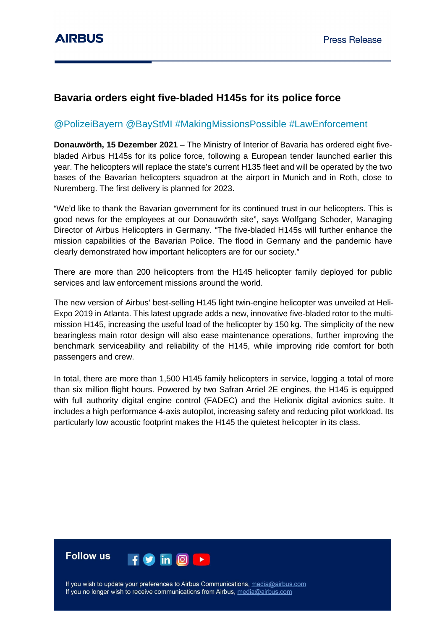# **Bavaria orders eight five-bladed H145s for its police force**

## @PolizeiBayern @BayStMI #MakingMissionsPossible #LawEnforcement

**Donauwörth, 15 Dezember 2021** – The Ministry of Interior of Bavaria has ordered eight fivebladed Airbus H145s for its police force, following a European tender launched earlier this year. The helicopters will replace the state's current H135 fleet and will be operated by the two bases of the Bavarian helicopters squadron at the airport in Munich and in Roth, close to Nuremberg. The first delivery is planned for 2023.

"We'd like to thank the Bavarian government for its continued trust in our helicopters. This is good news for the employees at our Donauwörth site", says Wolfgang Schoder, Managing Director of Airbus Helicopters in Germany. "The five-bladed H145s will further enhance the mission capabilities of the Bavarian Police. The flood in Germany and the pandemic have clearly demonstrated how important helicopters are for our society."

There are more than 200 helicopters from the H145 helicopter family deployed for public services and law enforcement missions around the world.

The new version of Airbus' best-selling H145 light twin-engine helicopter was unveiled at Heli-Expo 2019 in Atlanta. This latest upgrade adds a new, innovative five-bladed rotor to the multimission H145, increasing the useful load of the helicopter by 150 kg. The simplicity of the new bearingless main rotor design will also ease maintenance operations, further improving the benchmark serviceability and reliability of the H145, while improving ride comfort for both passengers and crew.

In total, there are more than 1,500 H145 family helicopters in service, logging a total of more than six million flight hours. Powered by two Safran Arriel 2E engines, the H145 is equipped with full authority digital engine control (FADEC) and the Helionix digital avionics suite. It includes a high performance 4-axis autopilot, increasing safety and reducing pilot workload. Its particularly low acoustic footprint makes the H145 the quietest helicopter in its class.



If you wish to update your preferences to Airbus Communications, media@airbus.com If you no longer wish to receive communications from Airbus, media@airbus.com